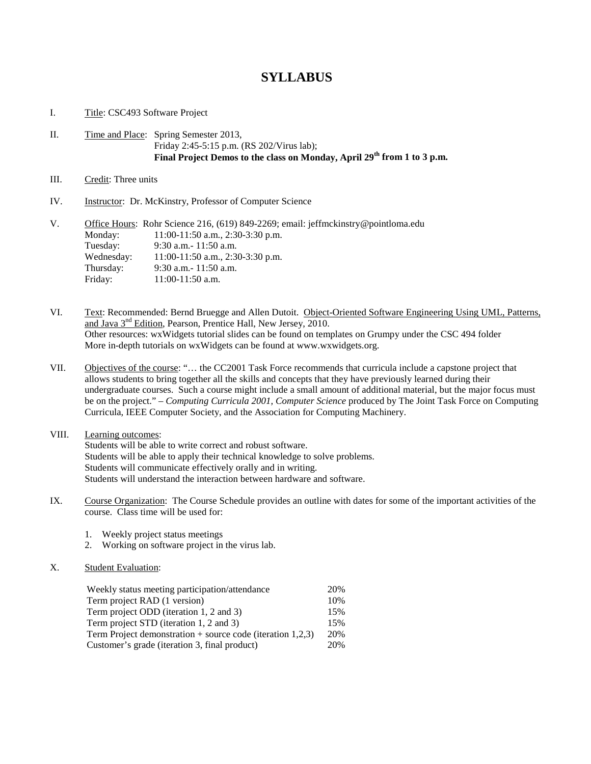# **SYLLABUS**

### I. Title: CSC493 Software Project

## II. Time and Place: Spring Semester 2013, Friday 2:45-5:15 p.m. (RS 202/Virus lab); **Final Project Demos to the class on Monday, April 29th from 1 to 3 p.m.**

- III. Credit: Three units
- IV. Instructor: Dr. McKinstry, Professor of Computer Science

| V. |            | Office Hours: Rohr Science 216, (619) 849-2269; email: jeffmckinstry@pointloma.edu |
|----|------------|------------------------------------------------------------------------------------|
|    | Monday:    | $11:00-11:50$ a.m., 2:30-3:30 p.m.                                                 |
|    | Tuesday:   | $9:30$ a.m. $-11:50$ a.m.                                                          |
|    | Wednesday: | $11:00-11:50$ a.m., 2:30-3:30 p.m.                                                 |
|    | Thursday:  | $9:30$ a.m. $-11:50$ a.m.                                                          |
|    | Friday:    | $11:00-11:50$ a.m.                                                                 |

VI. Text: Recommended: Bernd Bruegge and Allen Dutoit. Object-Oriented Software Engineering Using UML, Patterns, and Java 3<sup>nd</sup> Edition, Pearson, Prentice Hall, New Jersey, 2010. Other resources: wxWidgets tutorial slides can be found on templates on Grumpy under the CSC 494 folder More in-depth tutorials on wxWidgets can be found at www.wxwidgets.org.

VII. Objectives of the course: "… the CC2001 Task Force recommends that curricula include a capstone project that allows students to bring together all the skills and concepts that they have previously learned during their undergraduate courses. Such a course might include a small amount of additional material, but the major focus must be on the project." – *Computing Curricula 2001, Computer Science* produced by The Joint Task Force on Computing Curricula, IEEE Computer Society, and the Association for Computing Machinery.

### VIII. Learning outcomes: Students will be able to write correct and robust software. Students will be able to apply their technical knowledge to solve problems. Students will communicate effectively orally and in writing. Students will understand the interaction between hardware and software.

- IX. Course Organization: The Course Schedule provides an outline with dates for some of the important activities of the course. Class time will be used for:
	- 1. Weekly project status meetings
	- 2. Working on software project in the virus lab.

## X. Student Evaluation:

| Weekly status meeting participation/attendance               |     |  |
|--------------------------------------------------------------|-----|--|
| Term project RAD (1 version)                                 | 10% |  |
| Term project ODD (iteration 1, 2 and 3)                      | 15% |  |
| Term project STD (iteration 1, 2 and 3)                      | 15% |  |
| Term Project demonstration $+$ source code (iteration 1,2,3) |     |  |
| Customer's grade (iteration 3, final product)                |     |  |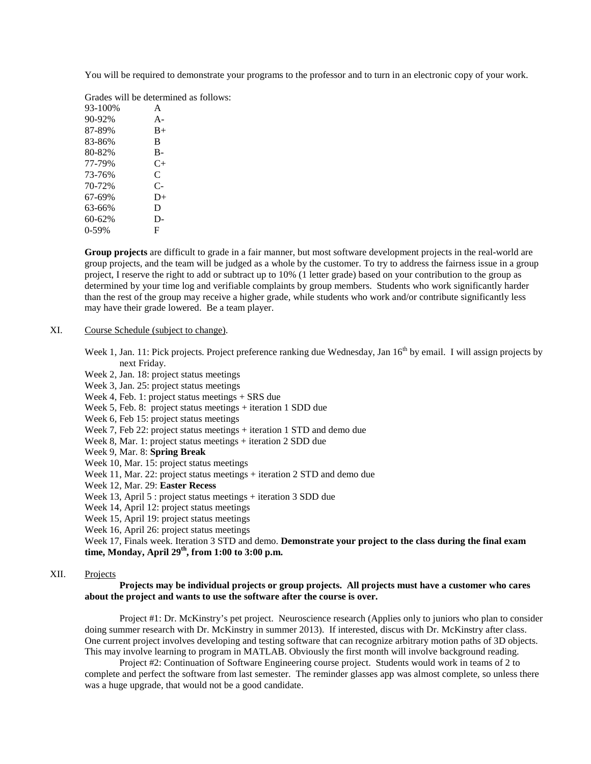You will be required to demonstrate your programs to the professor and to turn in an electronic copy of your work.

Grades will be determined as follows:

| 93-100% | A         |
|---------|-----------|
| 90-92%  | $A -$     |
| 87-89%  | $B+$      |
| 83-86%  | B         |
| 80-82%  | $B-$      |
| 77-79%  | $C_{\pm}$ |
| 73-76%  | C         |
| 70-72%  | C-        |
| 67-69%  | D+        |
| 63-66%  | D         |
| 60-62%  | D-        |
| $0-59%$ | F         |

**Group projects** are difficult to grade in a fair manner, but most software development projects in the real-world are group projects, and the team will be judged as a whole by the customer. To try to address the fairness issue in a group project, I reserve the right to add or subtract up to 10% (1 letter grade) based on your contribution to the group as determined by your time log and verifiable complaints by group members. Students who work significantly harder than the rest of the group may receive a higher grade, while students who work and/or contribute significantly less may have their grade lowered. Be a team player.

#### XI. Course Schedule (subject to change).

Week 1, Jan. 11: Pick projects. Project preference ranking due Wednesday, Jan  $16<sup>th</sup>$  by email. I will assign projects by next Friday.

Week 2, Jan. 18: project status meetings Week 3, Jan. 25: project status meetings Week 4, Feb. 1: project status meetings + SRS due Week 5, Feb. 8: project status meetings + iteration 1 SDD due Week 6, Feb 15: project status meetings Week 7, Feb 22: project status meetings + iteration 1 STD and demo due Week 8, Mar. 1: project status meetings + iteration 2 SDD due Week 9, Mar. 8: **Spring Break** Week 10, Mar. 15: project status meetings Week 11, Mar. 22: project status meetings + iteration 2 STD and demo due Week 12, Mar. 29: **Easter Recess** Week 13, April 5 : project status meetings + iteration 3 SDD due Week 14, April 12: project status meetings Week 15, April 19: project status meetings Week 16, April 26: project status meetings Week 17, Finals week. Iteration 3 STD and demo. **Demonstrate your project to the class during the final exam time, Monday, April 29th, from 1:00 to 3:00 p.m.**

# XII. Projects

#### **Projects may be individual projects or group projects. All projects must have a customer who cares about the project and wants to use the software after the course is over.**

Project #1: Dr. McKinstry's pet project. Neuroscience research (Applies only to juniors who plan to consider doing summer research with Dr. McKinstry in summer 2013). If interested, discus with Dr. McKinstry after class. One current project involves developing and testing software that can recognize arbitrary motion paths of 3D objects. This may involve learning to program in MATLAB. Obviously the first month will involve background reading.

Project #2: Continuation of Software Engineering course project. Students would work in teams of 2 to complete and perfect the software from last semester. The reminder glasses app was almost complete, so unless there was a huge upgrade, that would not be a good candidate.